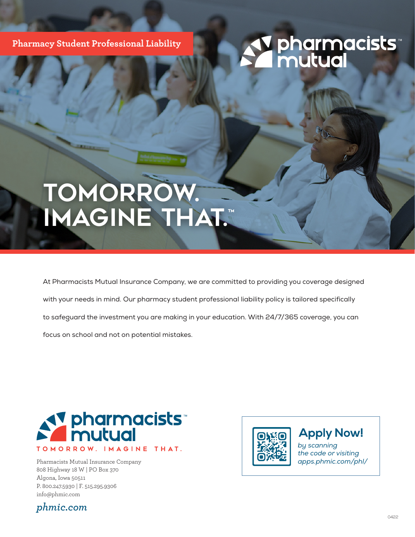**Pharmacy Student Professional Liability**

## *<u>y pharmacists</u>*<br>*A* mutual

## TomoRrow. Imagine that.™

At Pharmacists Mutual Insurance Company, we are committed to providing you coverage designed with your needs in mind. Our pharmacy student professional liability policy is tailored specifically to safeguard the investment you are making in your education. With 24/7/365 coverage, you can focus on school and not on potential mistakes.



Pharmacists Mutual Insurance Company 808 Highway 18 W | PO Box 370 Algona, Iowa 50511 P. 800.247.5930 | F. 515.295.9306 info@phmic.com



*by scanning*  **Apply Now!**

*the code or visiting apps.phmic.com/phl/*

#### *phmic.com*